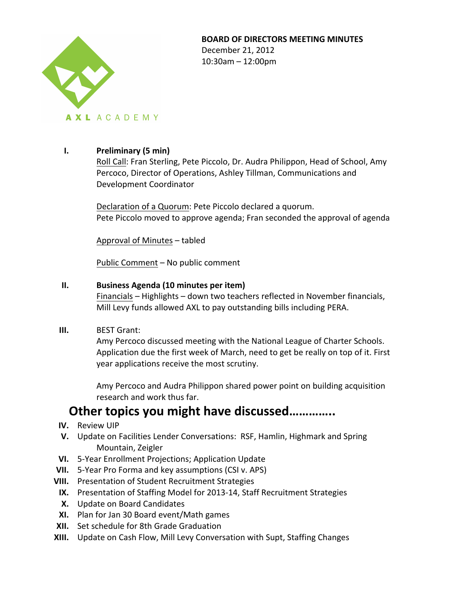

### **BOARD OF DIRECTORS MEETING MINUTES**

December 21, 2012  $10:30$ am  $- 12:00$ pm

## **I. Preliminary (5 min)**

Roll Call: Fran Sterling, Pete Piccolo, Dr. Audra Philippon, Head of School, Amy Percoco, Director of Operations, Ashley Tillman, Communications and Development Coordinator

Declaration of a Quorum: Pete Piccolo declared a quorum. Pete Piccolo moved to approve agenda; Fran seconded the approval of agenda

Approval of Minutes – tabled 

Public Comment – No public comment

## **II.** Business Agenda (10 minutes per item)

Financials – Highlights – down two teachers reflected in November financials, Mill Levy funds allowed AXL to pay outstanding bills including PERA.

**III.** BEST Grant:

Amy Percoco discussed meeting with the National League of Charter Schools. Application due the first week of March, need to get be really on top of it. First year applications receive the most scrutiny.

Amy Percoco and Audra Philippon shared power point on building acquisition research and work thus far.

# **Other topics you might have discussed..............**

- **IV.** Review UIP
- **V.** Update on Facilities Lender Conversations: RSF, Hamlin, Highmark and Spring Mountain, Zeigler
- **VI.** 5-Year Enrollment Projections; Application Update
- **VII.** 5-Year Pro Forma and key assumptions (CSI v. APS)
- **VIII.** Presentation of Student Recruitment Strategies
- **IX.** Presentation of Staffing Model for 2013-14, Staff Recruitment Strategies
- **X.** Update on Board Candidates
- **XI.** Plan for Jan 30 Board event/Math games
- **XII.** Set schedule for 8th Grade Graduation
- **XIII.** Update on Cash Flow, Mill Levy Conversation with Supt, Staffing Changes